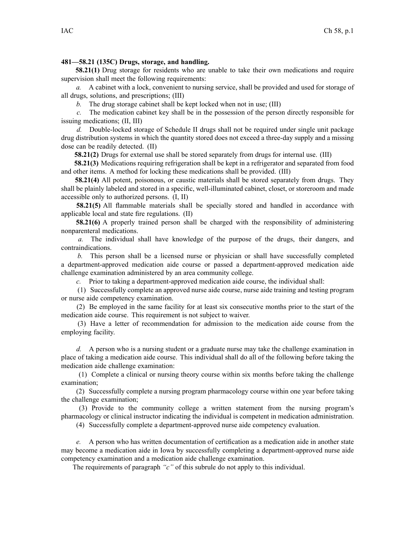## **481—58.21 (135C) Drugs, storage, and handling.**

**58.21(1)** Drug storage for residents who are unable to take their own medications and require supervision shall meet the following requirements:

*a.* A cabinet with <sup>a</sup> lock, convenient to nursing service, shall be provided and used for storage of all drugs, solutions, and prescriptions; (III)

*b.* The drug storage cabinet shall be kept locked when not in use; (III)

*c.* The medication cabinet key shall be in the possession of the person directly responsible for issuing medications; (II, III)

*d.* Double-locked storage of Schedule II drugs shall not be required under single unit package drug distribution systems in which the quantity stored does not exceed <sup>a</sup> three-day supply and <sup>a</sup> missing dose can be readily detected. (II)

**58.21(2)** Drugs for external use shall be stored separately from drugs for internal use. (III)

**58.21(3)** Medications requiring refrigeration shall be kept in <sup>a</sup> refrigerator and separated from food and other items. A method for locking these medications shall be provided. (III)

**58.21(4)** All potent, poisonous, or caustic materials shall be stored separately from drugs. They shall be plainly labeled and stored in <sup>a</sup> specific, well-illuminated cabinet, closet, or storeroom and made accessible only to authorized persons. (I, II)

**58.21(5)** All flammable materials shall be specially stored and handled in accordance with applicable local and state fire regulations. (II)

**58.21(6)** A properly trained person shall be charged with the responsibility of administering nonparenteral medications.

*a.* The individual shall have knowledge of the purpose of the drugs, their dangers, and contraindications.

*b.* This person shall be <sup>a</sup> licensed nurse or physician or shall have successfully completed <sup>a</sup> department-approved medication aide course or passed <sup>a</sup> department-approved medication aide challenge examination administered by an area community college.

*c.* Prior to taking <sup>a</sup> department-approved medication aide course, the individual shall:

(1) Successfully complete an approved nurse aide course, nurse aide training and testing program or nurse aide competency examination.

(2) Be employed in the same facility for at least six consecutive months prior to the start of the medication aide course. This requirement is not subject to waiver.

(3) Have <sup>a</sup> letter of recommendation for admission to the medication aide course from the employing facility.

*d.* A person who is <sup>a</sup> nursing student or <sup>a</sup> graduate nurse may take the challenge examination in place of taking <sup>a</sup> medication aide course. This individual shall do all of the following before taking the medication aide challenge examination:

(1) Complete <sup>a</sup> clinical or nursing theory course within six months before taking the challenge examination;

(2) Successfully complete <sup>a</sup> nursing program pharmacology course within one year before taking the challenge examination;

(3) Provide to the community college <sup>a</sup> written statement from the nursing program's pharmacology or clinical instructor indicating the individual is competent in medication administration.

(4) Successfully complete <sup>a</sup> department-approved nurse aide competency evaluation.

*e.* A person who has written documentation of certification as <sup>a</sup> medication aide in another state may become <sup>a</sup> medication aide in Iowa by successfully completing <sup>a</sup> department-approved nurse aide competency examination and <sup>a</sup> medication aide challenge examination.

The requirements of paragraph *"c"* of this subrule do not apply to this individual.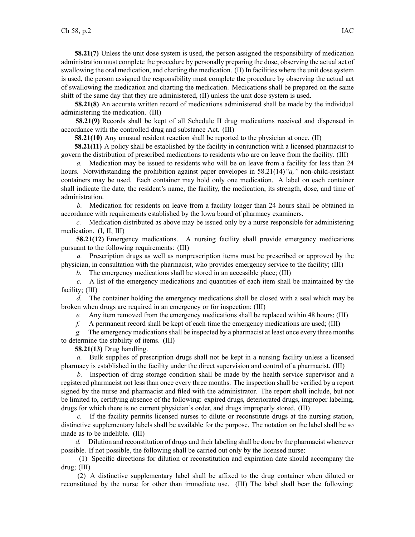**58.21(7)** Unless the unit dose system is used, the person assigned the responsibility of medication administration must complete the procedure by personally preparing the dose, observing the actual act of swallowing the oral medication, and charting the medication. (II) In facilities where the unit dose system is used, the person assigned the responsibility must complete the procedure by observing the actual act of swallowing the medication and charting the medication. Medications shall be prepared on the same shift of the same day that they are administered, (II) unless the unit dose system is used.

**58.21(8)** An accurate written record of medications administered shall be made by the individual administering the medication. (III)

**58.21(9)** Records shall be kept of all Schedule II drug medications received and dispensed in accordance with the controlled drug and substance Act. (III)

**58.21(10)** Any unusual resident reaction shall be reported to the physician at once. (II)

**58.21(11)** A policy shall be established by the facility in conjunction with <sup>a</sup> licensed pharmacist to govern the distribution of prescribed medications to residents who are on leave from the facility. (III)

*a.* Medication may be issued to residents who will be on leave from <sup>a</sup> facility for less than 24 hours. Notwithstanding the prohibition against paper envelopes in 58.21(14)*"a,"* non-child-resistant containers may be used. Each container may hold only one medication. A label on each container shall indicate the date, the resident's name, the facility, the medication, its strength, dose, and time of administration.

*b.* Medication for residents on leave from <sup>a</sup> facility longer than 24 hours shall be obtained in accordance with requirements established by the Iowa board of pharmacy examiners.

*c.* Medication distributed as above may be issued only by <sup>a</sup> nurse responsible for administering medication. (I, II, III)

**58.21(12)** Emergency medications. A nursing facility shall provide emergency medications pursuan<sup>t</sup> to the following requirements: (III)

*a.* Prescription drugs as well as nonprescription items must be prescribed or approved by the physician, in consultation with the pharmacist, who provides emergency service to the facility; (III)

*b.* The emergency medications shall be stored in an accessible place; (III)

*c.* A list of the emergency medications and quantities of each item shall be maintained by the facility; (III)

*d.* The container holding the emergency medications shall be closed with <sup>a</sup> seal which may be broken when drugs are required in an emergency or for inspection; (III)

*e.* Any item removed from the emergency medications shall be replaced within 48 hours; (III)

*f.* A permanen<sup>t</sup> record shall be kept of each time the emergency medications are used; (III)

*g.* The emergency medicationsshall be inspected by <sup>a</sup> pharmacist at least once every three months to determine the stability of items. (III)

**58.21(13)** Drug handling.

*a.* Bulk supplies of prescription drugs shall not be kept in <sup>a</sup> nursing facility unless <sup>a</sup> licensed pharmacy is established in the facility under the direct supervision and control of <sup>a</sup> pharmacist. (III)

*b.* Inspection of drug storage condition shall be made by the health service supervisor and <sup>a</sup> registered pharmacist not less than once every three months. The inspection shall be verified by <sup>a</sup> repor<sup>t</sup> signed by the nurse and pharmacist and filed with the administrator. The repor<sup>t</sup> shall include, but not be limited to, certifying absence of the following: expired drugs, deteriorated drugs, improper labeling, drugs for which there is no current physician's order, and drugs improperly stored. (III)

*c.* If the facility permits licensed nurses to dilute or reconstitute drugs at the nursing station, distinctive supplementary labels shall be available for the purpose. The notation on the label shall be so made as to be indelible. (III)

*d.* Dilution and reconstitution of drugs and their labeling shall be done by the pharmacist whenever possible. If not possible, the following shall be carried out only by the licensed nurse:

(1) Specific directions for dilution or reconstitution and expiration date should accompany the drug; (III)

(2) A distinctive supplementary label shall be affixed to the drug container when diluted or reconstituted by the nurse for other than immediate use. (III) The label shall bear the following: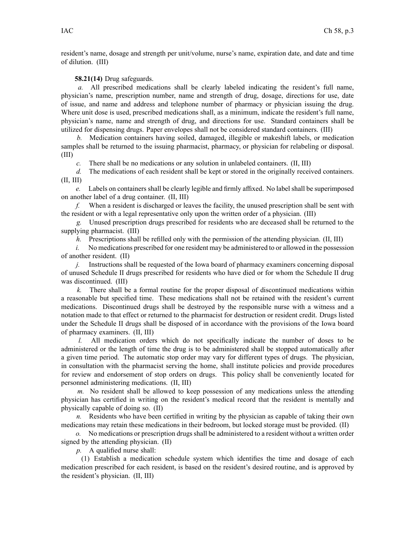resident's name, dosage and strength per unit/volume, nurse's name, expiration date, and date and time of dilution. (III)

## **58.21(14)** Drug safeguards.

*a.* All prescribed medications shall be clearly labeled indicating the resident's full name, physician's name, prescription number, name and strength of drug, dosage, directions for use, date of issue, and name and address and telephone number of pharmacy or physician issuing the drug. Where unit dose is used, prescribed medications shall, as <sup>a</sup> minimum, indicate the resident's full name, physician's name, name and strength of drug, and directions for use. Standard containers shall be utilized for dispensing drugs. Paper envelopes shall not be considered standard containers. (III)

*b.* Medication containers having soiled, damaged, illegible or makeshift labels, or medication samples shall be returned to the issuing pharmacist, pharmacy, or physician for relabeling or disposal. (III)

*c.* There shall be no medications or any solution in unlabeled containers. (II, III)

*d.* The medications of each resident shall be kept or stored in the originally received containers. (II, III)

*e.* Labels on containers shall be clearly legible and firmly affixed. No label shall be superimposed on another label of <sup>a</sup> drug container. (II, III)

*f.* When <sup>a</sup> resident is discharged or leaves the facility, the unused prescription shall be sent with the resident or with <sup>a</sup> legal representative only upon the written order of <sup>a</sup> physician. (III)

*g.* Unused prescription drugs prescribed for residents who are deceased shall be returned to the supplying pharmacist. (III)

*h.* Prescriptions shall be refilled only with the permission of the attending physician. (II, III)

*i.* No medications prescribed for one resident may be administered to or allowed in the possession of another resident. (II)

*j.* Instructions shall be requested of the Iowa board of pharmacy examiners concerning disposal of unused Schedule II drugs prescribed for residents who have died or for whom the Schedule II drug was discontinued. (III)

*k.* There shall be <sup>a</sup> formal routine for the proper disposal of discontinued medications within <sup>a</sup> reasonable but specified time. These medications shall not be retained with the resident's current medications. Discontinued drugs shall be destroyed by the responsible nurse with <sup>a</sup> witness and <sup>a</sup> notation made to that effect or returned to the pharmacist for destruction or resident credit. Drugs listed under the Schedule II drugs shall be disposed of in accordance with the provisions of the Iowa board of pharmacy examiners. (II, III)

*l.* All medication orders which do not specifically indicate the number of doses to be administered or the length of time the drug is to be administered shall be stopped automatically after <sup>a</sup> given time period. The automatic stop order may vary for different types of drugs. The physician, in consultation with the pharmacist serving the home, shall institute policies and provide procedures for review and endorsement of stop orders on drugs. This policy shall be conveniently located for personnel administering medications. (II, III)

*m.* No resident shall be allowed to keep possession of any medications unless the attending physician has certified in writing on the resident's medical record that the resident is mentally and physically capable of doing so. (II)

*n.* Residents who have been certified in writing by the physician as capable of taking their own medications may retain these medications in their bedroom, but locked storage must be provided. (II)

*o.* No medications or prescription drugs shall be administered to <sup>a</sup> resident without <sup>a</sup> written order signed by the attending physician. (II)

*p.* A qualified nurse shall:

(1) Establish <sup>a</sup> medication schedule system which identifies the time and dosage of each medication prescribed for each resident, is based on the resident's desired routine, and is approved by the resident's physician. (II, III)